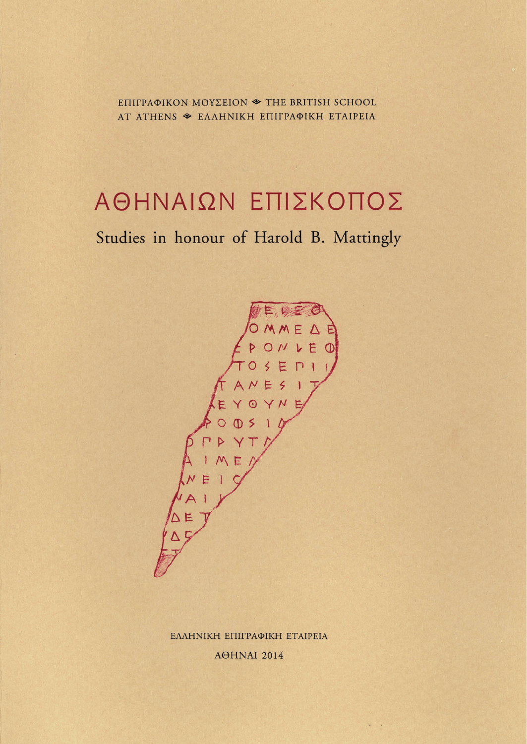ΕΠΙΓΡΑΦΙΚΟΝ ΜΟΥΣΕΙΟΝ <sup>•</sup> THE BRITISH SCHOOL AT ATHENS  $\textcircledast$  EAAHNIKH ETHPAQIKH ETAIPEIA

## **ΑΘΗΝΑΙΩΝ ΕΠΙΣΚΟΠΟΣ**

## Studies in honour of Harold B. Mattingly



ΕΛΛΗΝΙΚΗ ΕΠΙΓΡΑΦΙΚΗ ΕΤΑΙΡΕΙΑ AOHNAI 2014